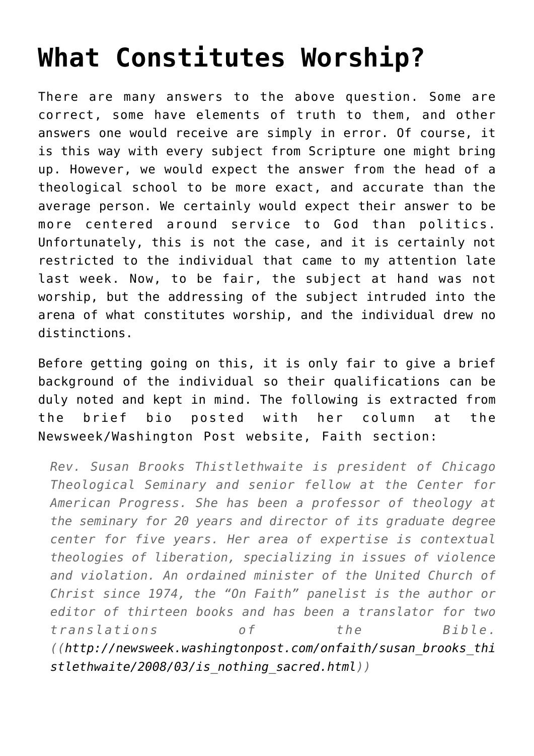## **[What Constitutes Worship?](http://reproachofmen.org/2008/04/what-constitutes-worship/)**

There are many answers to the above question. Some are correct, some have elements of truth to them, and other answers one would receive are simply in error. Of course, it is this way with every subject from Scripture one might bring up. However, we would expect the answer from the head of a theological school to be more exact, and accurate than the average person. We certainly would expect their answer to be more centered around service to God than politics. Unfortunately, this is not the case, and it is certainly not restricted to the individual that came to my attention late last week. Now, to be fair, the subject at hand was not worship, but the addressing of the subject intruded into the arena of what constitutes worship, and the individual drew no distinctions.

Before getting going on this, it is only fair to give a brief background of the individual so their qualifications can be duly noted and kept in mind. The following is extracted from the brief bio posted with her column at the Newsweek/Washington Post website, Faith section:

*Rev. Susan Brooks Thistlethwaite is president of Chicago Theological Seminary and senior fellow at the Center for American Progress. She has been a professor of theology at the seminary for 20 years and director of its graduate degree center for five years. Her area of expertise is contextual theologies of liberation, specializing in issues of violence and violation. An ordained minister of the United Church of Christ since 1974, the "On Faith" panelist is the author or editor of thirteen books and has been a translator for two translations of the Bible. ([\(http://newsweek.washingtonpost.com/onfaith/susan\\_brooks\\_thi](http://newsweek.washingtonpost.com/onfaith/susan_brooks_thistlethwaite/2008/03/is_nothing_sacred.html) [stlethwaite/2008/03/is\\_nothing\\_sacred.html](http://newsweek.washingtonpost.com/onfaith/susan_brooks_thistlethwaite/2008/03/is_nothing_sacred.html)))*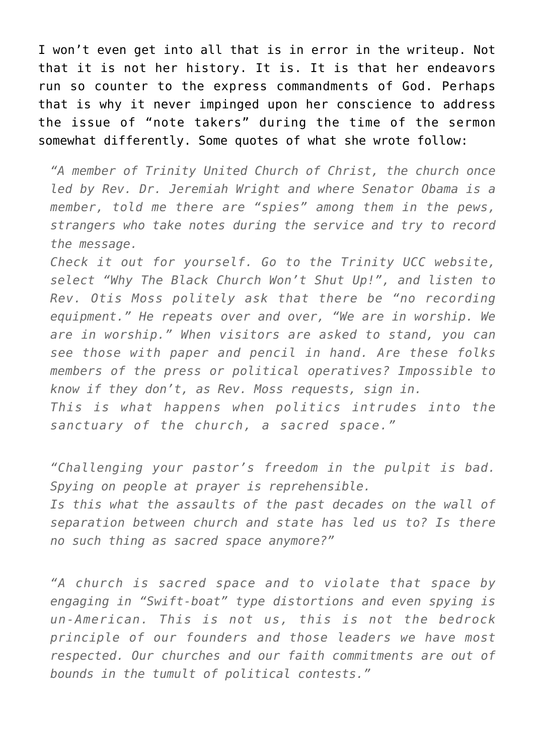I won't even get into all that is in error in the writeup. Not that it is not her history. It is. It is that her endeavors run so counter to the express commandments of God. Perhaps that is why it never impinged upon her conscience to address the issue of "note takers" during the time of the sermon somewhat differently. Some quotes of what she wrote follow:

*"A member of Trinity United Church of Christ, the church once led by Rev. Dr. Jeremiah Wright and where Senator Obama is a member, told me there are "spies" among them in the pews, strangers who take notes during the service and try to record the message.*

*Check it out for yourself. Go to the Trinity UCC website, select "Why The Black Church Won't Shut Up!", and listen to Rev. Otis Moss politely ask that there be "no recording equipment." He repeats over and over, "We are in worship. We are in worship." When visitors are asked to stand, you can see those with paper and pencil in hand. Are these folks members of the press or political operatives? Impossible to know if they don't, as Rev. Moss requests, sign in.*

*This is what happens when politics intrudes into the sanctuary of the church, a sacred space."*

*"Challenging your pastor's freedom in the pulpit is bad. Spying on people at prayer is reprehensible. Is this what the assaults of the past decades on the wall of separation between church and state has led us to? Is there no such thing as sacred space anymore?"*

*"A church is sacred space and to violate that space by engaging in "Swift-boat" type distortions and even spying is un-American. This is not us, this is not the bedrock principle of our founders and those leaders we have most respected. Our churches and our faith commitments are out of bounds in the tumult of political contests."*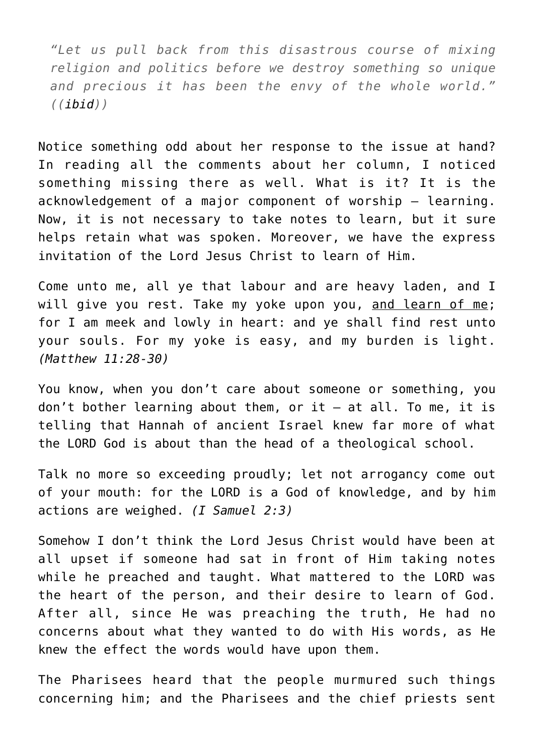*"Let us pull back from this disastrous course of mixing religion and politics before we destroy something so unique and precious it has been the envy of the whole world." ([\(ibid\)](http://newsweek.washingtonpost.com/onfaith/susan_brooks_thistlethwaite/2008/03/is_nothing_sacred.html))*

Notice something odd about her response to the issue at hand? In reading all the comments about her column, I noticed something missing there as well. What is it? It is the acknowledgement of a major component of worship — learning. Now, it is not necessary to take notes to learn, but it sure helps retain what was spoken. Moreover, we have the express invitation of the Lord Jesus Christ to learn of Him.

Come unto me, all ye that labour and are heavy laden, and I will give you rest. Take my yoke upon you, and learn of me; for I am meek and lowly in heart: and ye shall find rest unto your souls. For my yoke is easy, and my burden is light. *(Matthew 11:28-30)*

You know, when you don't care about someone or something, you don't bother learning about them, or it — at all. To me, it is telling that Hannah of ancient Israel knew far more of what the LORD God is about than the head of a theological school.

Talk no more so exceeding proudly; let not arrogancy come out of your mouth: for the LORD is a God of knowledge, and by him actions are weighed. *(I Samuel 2:3)*

Somehow I don't think the Lord Jesus Christ would have been at all upset if someone had sat in front of Him taking notes while he preached and taught. What mattered to the LORD was the heart of the person, and their desire to learn of God. After all, since He was preaching the truth, He had no concerns about what they wanted to do with His words, as He knew the effect the words would have upon them.

The Pharisees heard that the people murmured such things concerning him; and the Pharisees and the chief priests sent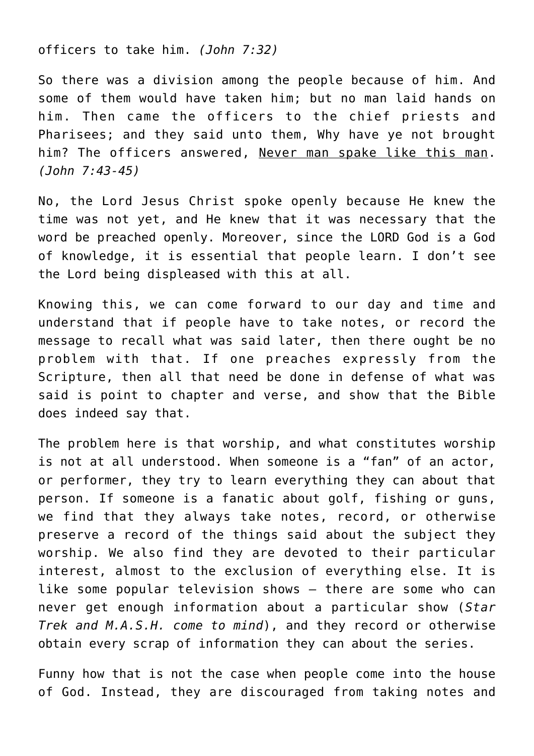officers to take him. *(John 7:32)*

So there was a division among the people because of him. And some of them would have taken him; but no man laid hands on him. Then came the officers to the chief priests and Pharisees; and they said unto them, Why have ye not brought him? The officers answered, Never man spake like this man. *(John 7:43-45)*

No, the Lord Jesus Christ spoke openly because He knew the time was not yet, and He knew that it was necessary that the word be preached openly. Moreover, since the LORD God is a God of knowledge, it is essential that people learn. I don't see the Lord being displeased with this at all.

Knowing this, we can come forward to our day and time and understand that if people have to take notes, or record the message to recall what was said later, then there ought be no problem with that. If one preaches expressly from the Scripture, then all that need be done in defense of what was said is point to chapter and verse, and show that the Bible does indeed say that.

The problem here is that worship, and what constitutes worship is not at all understood. When someone is a "fan" of an actor, or performer, they try to learn everything they can about that person. If someone is a fanatic about golf, fishing or guns, we find that they always take notes, record, or otherwise preserve a record of the things said about the subject they worship. We also find they are devoted to their particular interest, almost to the exclusion of everything else. It is like some popular television shows — there are some who can never get enough information about a particular show (*Star Trek and M.A.S.H. come to mind*), and they record or otherwise obtain every scrap of information they can about the series.

Funny how that is not the case when people come into the house of God. Instead, they are discouraged from taking notes and